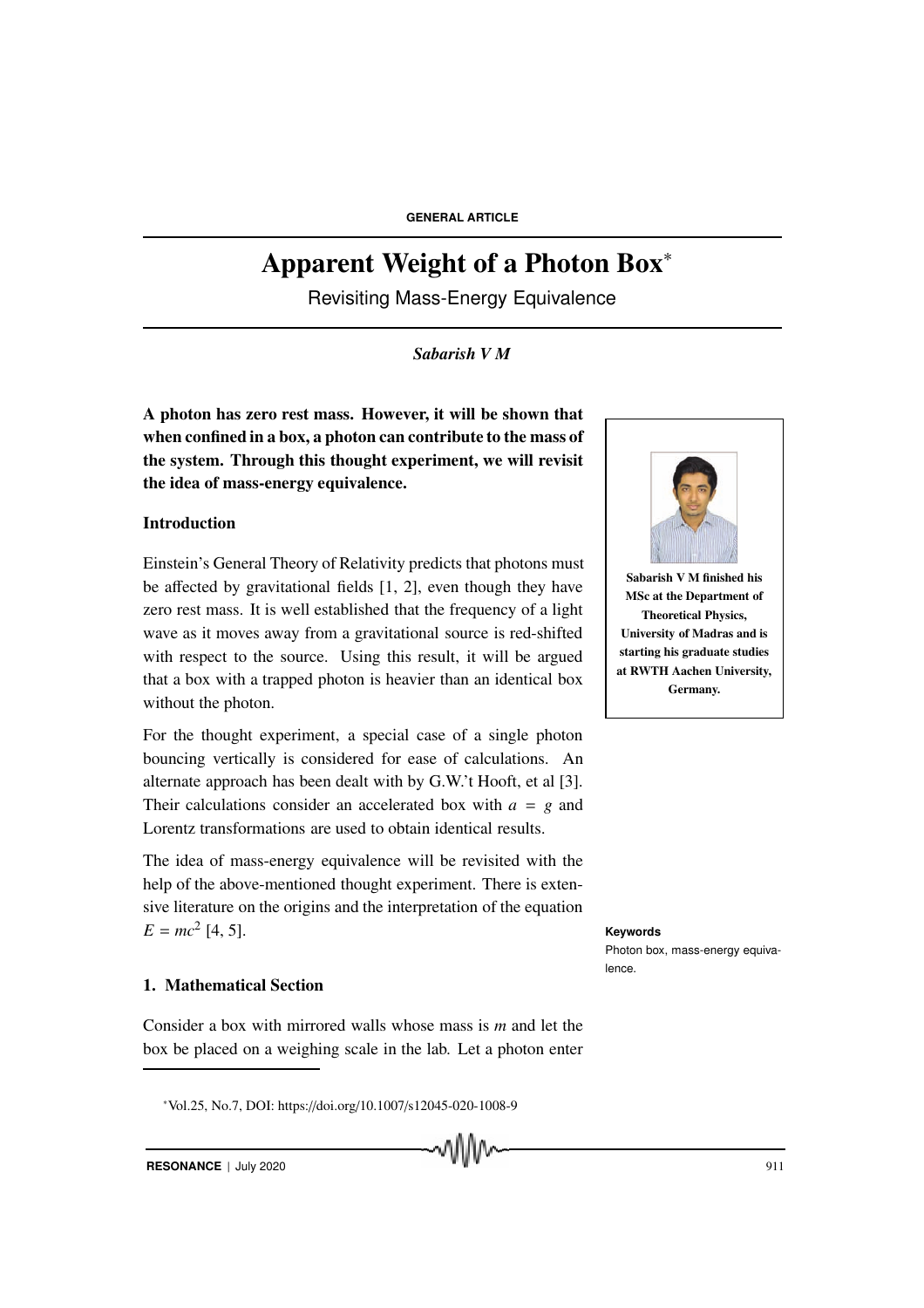**GENERAL ARTICLE**

# Apparent Weight of a Photon Box<sup>∗</sup>

Revisiting Mass-Energy Equivalence

*Sabarish V M*

A photon has zero rest mass. However, it will be shown that when confined in a box, a photon can contribute to the mass of the system. Through this thought experiment, we will revisit the idea of mass-energy equivalence.

# Introduction

Einstein's General Theory of Relativity predicts that photons must be affected by gravitational fields [1, 2], even though they have zero rest mass. It is well established that the frequency of a light wave as it moves away from a gravitational source is red-shifted with respect to the source. Using this result, it will be argued that a box with a trapped photon is heavier than an identical box without the photon.

For the thought experiment, a special case of a single photon bouncing vertically is considered for ease of calculations. An alternate approach has been dealt with by G.W.'t Hooft, et al [3]. Their calculations consider an accelerated box with *a* = *g* and Lorentz transformations are used to obtain identical results.

The idea of mass-energy equivalence will be revisited with the help of the above-mentioned thought experiment. There is extensive literature on the origins and the interpretation of the equation  $E = mc^2$  [4, 5]. [4, 5]. **Keywords**

# 1. Mathematical Section

Consider a box with mirrored walls whose mass is *m* and let the box be placed on a weighing scale in the lab. Let a photon enter



Sabarish V M finished his MSc at the Department of Theoretical Physics, University of Madras and is starting his graduate studies at RWTH Aachen University, Germany.

Photon box, mass-energy equivalence.

**RESONANCE** | July 2020 911

<sup>∗</sup>Vol.25, No.7, DOI: https://doi.org/10.1007/s12045-020-1008-9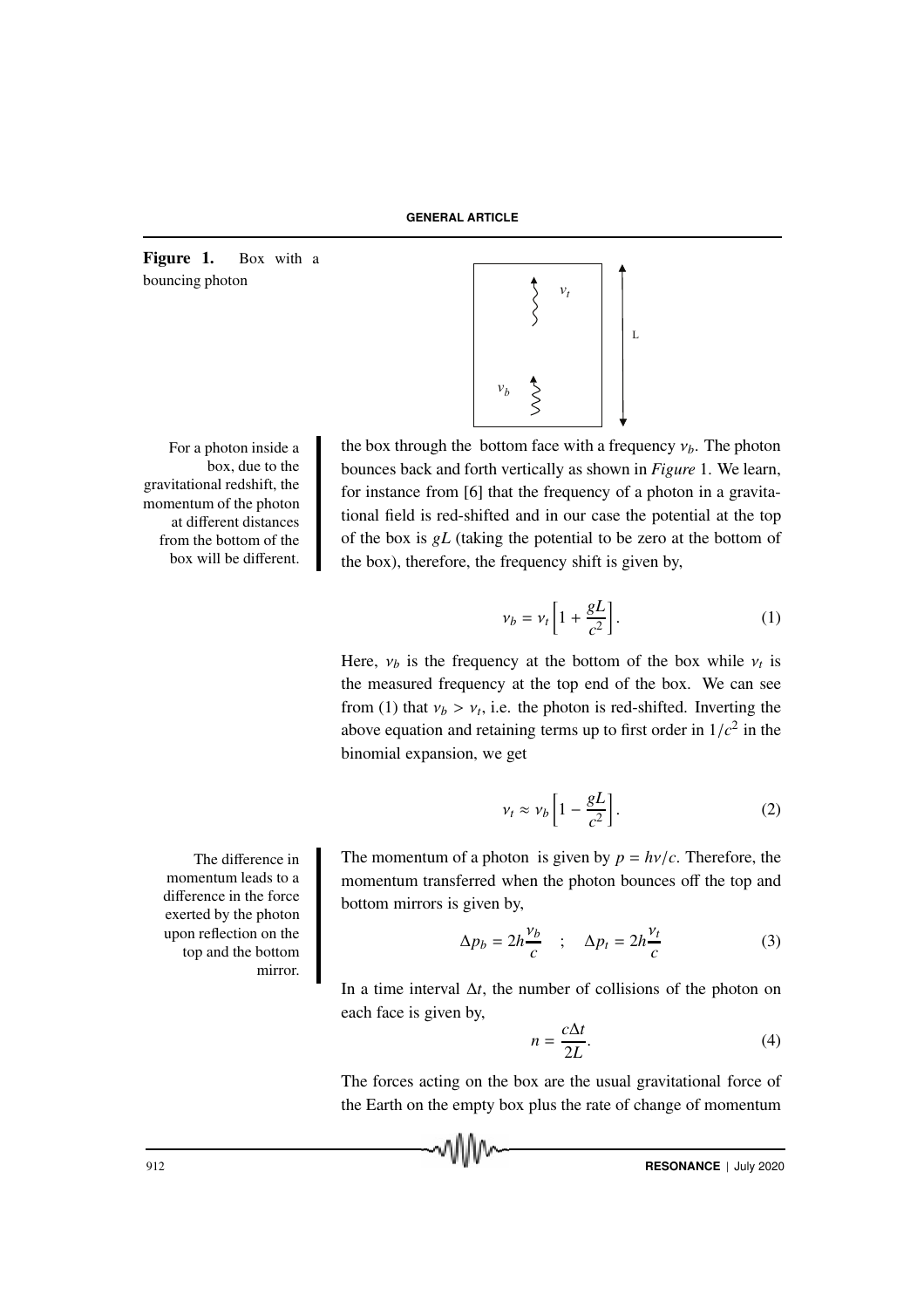Figure 1. Box with a bouncing photon

box, due to the gravitational redshift, the momentum of the photon at different distances from the bottom of the box will be different.

> momentum leads to a difference in the force exerted by the photon upon reflection on the top and the bottom mirror.



For a photon inside a the box through the bottom face with a frequency  $v_b$ . The photon bounces back and forth vertically as shown in *Figure* 1. We learn, for instance from [6] that the frequency of a photon in a gravitational field is red-shifted and in our case the potential at the top of the box is *gL* (taking the potential to be zero at the bottom of the box), therefore, the frequency shift is given by,

$$
\nu_b = \nu_t \left[ 1 + \frac{gL}{c^2} \right]. \tag{1}
$$

Here,  $v_b$  is the frequency at the bottom of the box while  $v_t$  is the measured frequency at the top end of the box. We can see from (1) that  $v_b > v_t$ , i.e. the photon is red-shifted. Inverting the above equation and retaining terms up to first order in  $1/c<sup>2</sup>$  in the binomial expansion, we get

$$
v_t \approx v_b \left[ 1 - \frac{gL}{c^2} \right]. \tag{2}
$$

The difference in The momentum of a photon is given by  $p = h\nu/c$ . Therefore, the momentum transferred when the photon bounces off the top and bottom mirrors is given by,

$$
\Delta p_b = 2h \frac{\nu_b}{c} \quad ; \quad \Delta p_t = 2h \frac{\nu_t}{c} \tag{3}
$$

In a time interval ∆*t*, the number of collisions of the photon on each face is given by,

$$
n = \frac{c\Delta t}{2L}.\tag{4}
$$

The forces acting on the box are the usual gravitational force of the Earth on the empty box plus the rate of change of momentum

912 **RESONANCE** | July 2020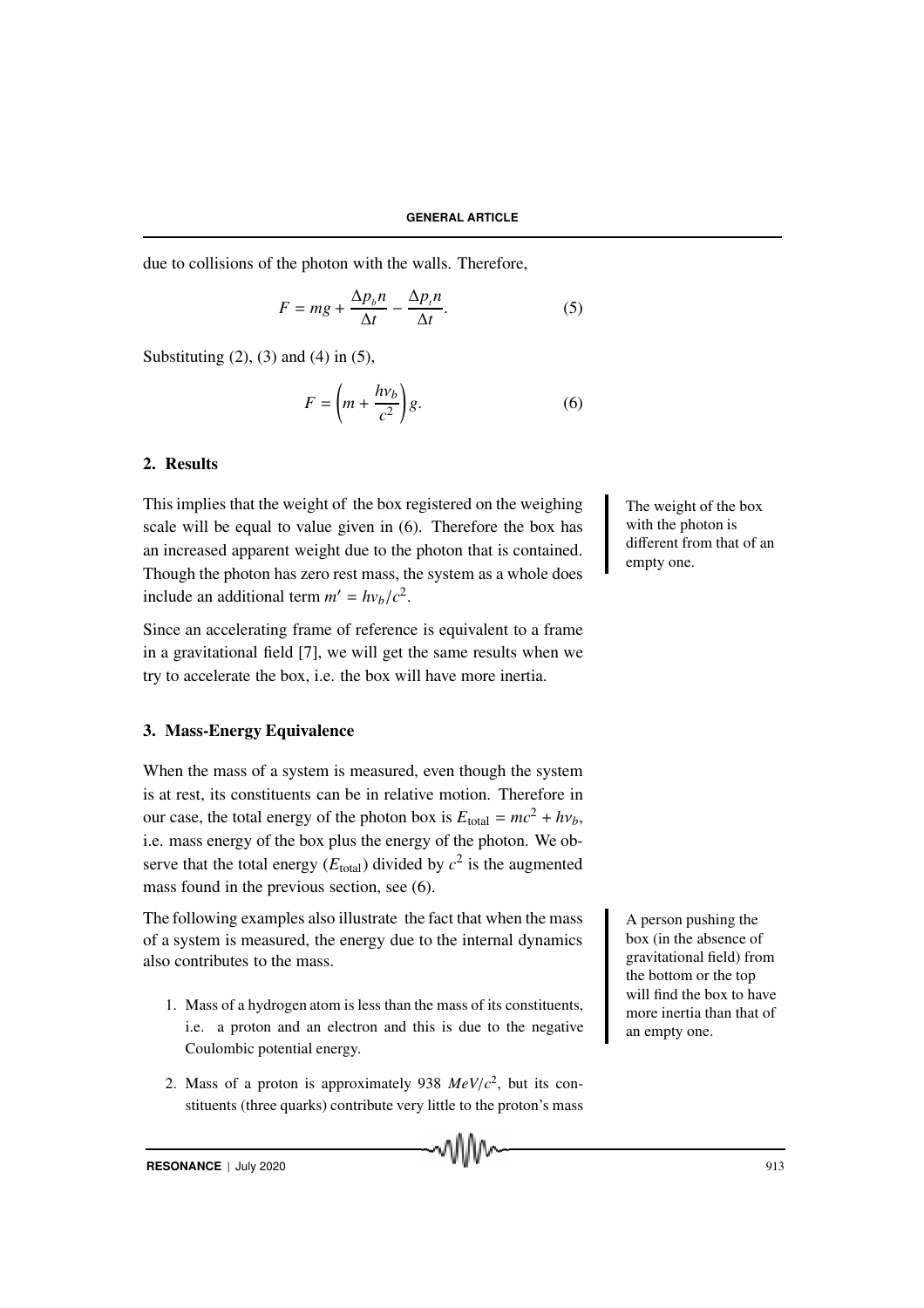due to collisions of the photon with the walls. Therefore,

$$
F = mg + \frac{\Delta p_b n}{\Delta t} - \frac{\Delta p_t n}{\Delta t}.
$$
 (5)

Substituting  $(2)$ ,  $(3)$  and  $(4)$  in  $(5)$ ,

$$
F = \left(m + \frac{h\nu_b}{c^2}\right)g.\tag{6}
$$

## 2. Results

This implies that the weight of the box registered on the weighing The weight of the box scale will be equal to value given in (6). Therefore the box has an increased apparent weight due to the photon that is contained. Though the photon has zero rest mass, the system as a whole does include an additional term  $m' = h v_b / c^2$ .

Since an accelerating frame of reference is equivalent to a frame in a gravitational field [7], we will get the same results when we try to accelerate the box, i.e. the box will have more inertia.

## 3. Mass-Energy Equivalence

When the mass of a system is measured, even though the system is at rest, its constituents can be in relative motion. Therefore in our case, the total energy of the photon box is  $E_{total} = mc^2 + hv_b$ , i.e. mass energy of the box plus the energy of the photon. We observe that the total energy  $(E_{total})$  divided by  $c^2$  is the augmented mass found in the previous section, see (6).

The following examples also illustrate the fact that when the mass  $\begin{bmatrix} A \end{bmatrix}$  A person pushing the of a system is measured, the energy due to the internal dynamics also contributes to the mass.

- 1. Mass of a hydrogen atom is less than the mass of its constituents, i.e. a proton and an electron and this is due to the negative Coulombic potential energy.
- 2. Mass of a proton is approximately 938  $MeV/c^2$ , but its constituents (three quarks) contribute very little to the proton's mass

with the photon is different from that of an empty one.

box (in the absence of gravitational field) from the bottom or the top will find the box to have more inertia than that of an empty one.